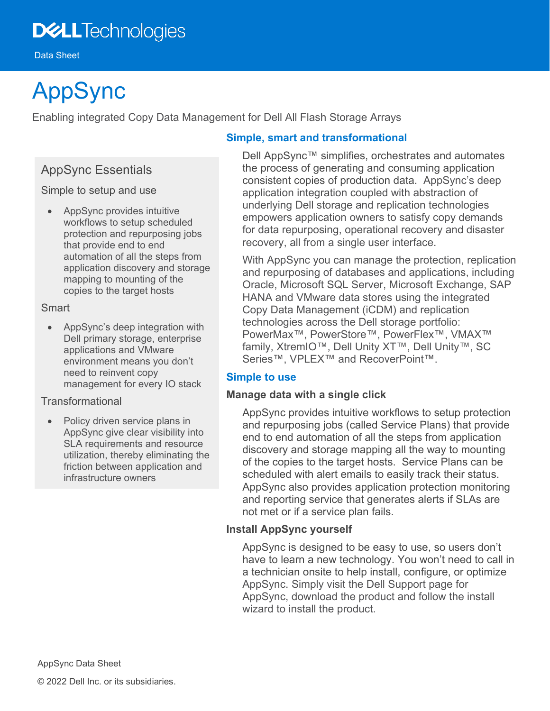# **DELL**Technologies

Data Sheet

# AppSync

Enabling integrated Copy Data Management for Dell All Flash Storage Arrays

## AppSync Essentials

Simple to setup and use

• AppSync provides intuitive workflows to setup scheduled protection and repurposing jobs that provide end to end automation of all the steps from application discovery and storage mapping to mounting of the copies to the target hosts

#### **Smart**

• AppSync's deep integration with Dell primary storage, enterprise applications and VMware environment means you don't need to reinvent copy management for every IO stack

#### Transformational

• Policy driven service plans in AppSync give clear visibility into SLA requirements and resource utilization, thereby eliminating the friction between application and infrastructure owners

### **Simple, smart and transformational**

Dell AppSync™ simplifies, orchestrates and automates the process of generating and consuming application consistent copies of production data. AppSync's deep application integration coupled with abstraction of underlying Dell storage and replication technologies empowers application owners to satisfy copy demands for data repurposing, operational recovery and disaster recovery, all from a single user interface.

With AppSync you can manage the protection, replication and repurposing of databases and applications, including Oracle, Microsoft SQL Server, Microsoft Exchange, SAP HANA and VMware data stores using the integrated Copy Data Management (iCDM) and replication technologies across the Dell storage portfolio: PowerMax™, PowerStore™, PowerFlex™, VMAX™ family, XtremIO™, Dell Unity XT™, Dell Unity™, SC Series™, VPLEX™ and RecoverPoint™.

### **Simple to use**

#### **Manage data with a single click**

AppSync provides intuitive workflows to setup protection and repurposing jobs (called Service Plans) that provide end to end automation of all the steps from application discovery and storage mapping all the way to mounting of the copies to the target hosts. Service Plans can be scheduled with alert emails to easily track their status. AppSync also provides application protection monitoring and reporting service that generates alerts if SLAs are not met or if a service plan fails.

#### **Install AppSync yourself**

AppSync is designed to be easy to use, so users don't have to learn a new technology. You won't need to call in a technician onsite to help install, configure, or optimize AppSync. Simply visit the Dell Support page for AppSync, download the product and follow the install wizard to install the product.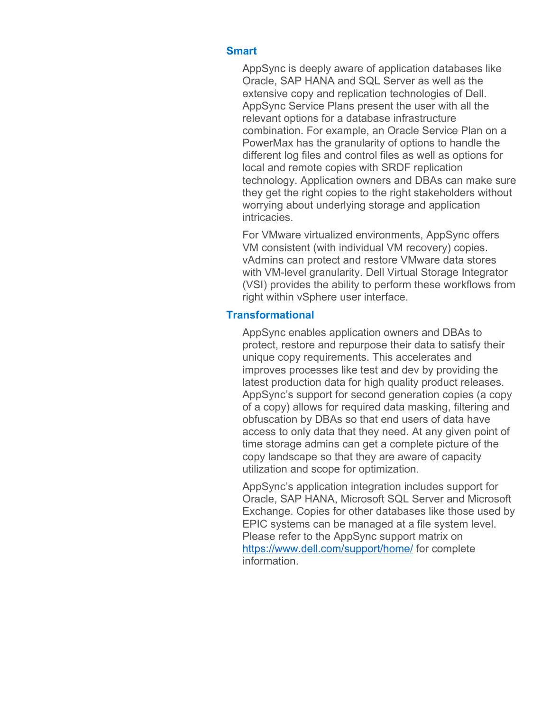#### **Smart**

AppSync is deeply aware of application databases like Oracle, SAP HANA and SQL Server as well as the extensive copy and replication technologies of Dell. AppSync Service Plans present the user with all the relevant options for a database infrastructure combination. For example, an Oracle Service Plan on a PowerMax has the granularity of options to handle the different log files and control files as well as options for local and remote copies with SRDF replication technology. Application owners and DBAs can make sure they get the right copies to the right stakeholders without worrying about underlying storage and application intricacies.

For VMware virtualized environments, AppSync offers VM consistent (with individual VM recovery) copies. vAdmins can protect and restore VMware data stores with VM-level granularity. Dell Virtual Storage Integrator (VSI) provides the ability to perform these workflows from right within vSphere user interface.

#### **Transformational**

AppSync enables application owners and DBAs to protect, restore and repurpose their data to satisfy their unique copy requirements. This accelerates and improves processes like test and dev by providing the latest production data for high quality product releases. AppSync's support for second generation copies (a copy of a copy) allows for required data masking, filtering and obfuscation by DBAs so that end users of data have access to only data that they need. At any given point of time storage admins can get a complete picture of the copy landscape so that they are aware of capacity utilization and scope for optimization.

AppSync's application integration includes support for Oracle, SAP HANA, Microsoft SQL Server and Microsoft Exchange. Copies for other databases like those used by EPIC systems can be managed at a file system level. Please refer to the AppSync support matrix on <https://www.dell.com/support/home/> for complete information.